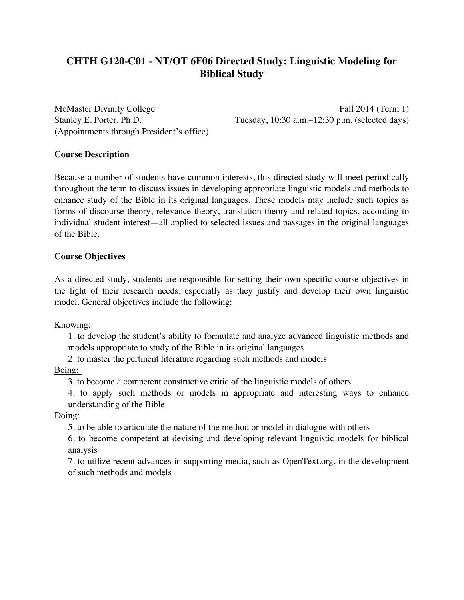# **CHTH G120-C01 - NT/OT 6F06 Directed Study: Linguistic Modeling for Biblical Study**

(Appointments through President's office)

McMaster Divinity College Fall 2014 (Term 1) Stanley E. Porter, Ph.D. Tuesday, 10:30 a.m.–12:30 p.m. (selected days)

# **Course Description**

Because a number of students have common interests, this directed study will meet periodically throughout the term to discuss issues in developing appropriate linguistic models and methods to enhance study of the Bible in its original languages. These models may include such topics as forms of discourse theory, relevance theory, translation theory and related topics, according to individual student interest—all applied to selected issues and passages in the original languages of the Bible.

# **Course Objectives**

As a directed study, students are responsible for setting their own specific course objectives in the light of their research needs, especially as they justify and develop their own linguistic model. General objectives include the following:

Knowing:

1. to develop the student's ability to formulate and analyze advanced linguistic methods and models appropriate to study of the Bible in its original languages

2. to master the pertinent literature regarding such methods and models

Being:

3. to become a competent constructive critic of the linguistic models of others

4. to apply such methods or models in appropriate and interesting ways to enhance understanding of the Bible

# Doing:

5. to be able to articulate the nature of the method or model in dialogue with others

6. to become competent at devising and developing relevant linguistic models for biblical analysis

7. to utilize recent advances in supporting media, such as OpenText.org, in the development of such methods and models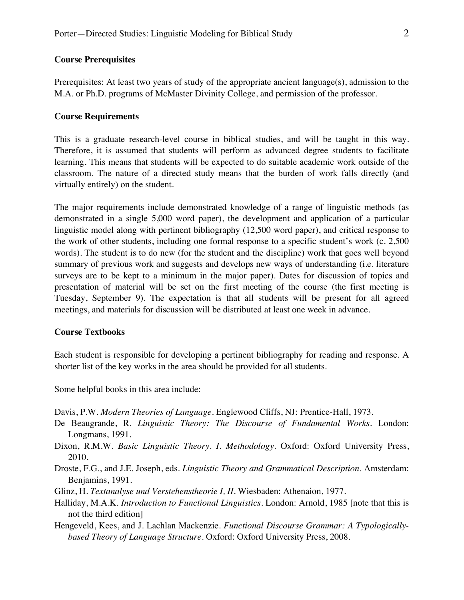## **Course Prerequisites**

Prerequisites: At least two years of study of the appropriate ancient language(s), admission to the M.A. or Ph.D. programs of McMaster Divinity College, and permission of the professor.

# **Course Requirements**

This is a graduate research-level course in biblical studies, and will be taught in this way. Therefore, it is assumed that students will perform as advanced degree students to facilitate learning. This means that students will be expected to do suitable academic work outside of the classroom. The nature of a directed study means that the burden of work falls directly (and virtually entirely) on the student.

The major requirements include demonstrated knowledge of a range of linguistic methods (as demonstrated in a single 5,000 word paper), the development and application of a particular linguistic model along with pertinent bibliography (12,500 word paper), and critical response to the work of other students, including one formal response to a specific student's work (c. 2,500 words). The student is to do new (for the student and the discipline) work that goes well beyond summary of previous work and suggests and develops new ways of understanding (i.e. literature surveys are to be kept to a minimum in the major paper). Dates for discussion of topics and presentation of material will be set on the first meeting of the course (the first meeting is Tuesday, September 9). The expectation is that all students will be present for all agreed meetings, and materials for discussion will be distributed at least one week in advance.

#### **Course Textbooks**

Each student is responsible for developing a pertinent bibliography for reading and response. A shorter list of the key works in the area should be provided for all students.

Some helpful books in this area include:

- Davis, P.W. *Modern Theories of Language*. Englewood Cliffs, NJ: Prentice-Hall, 1973.
- De Beaugrande, R. *Linguistic Theory: The Discourse of Fundamental Works*. London: Longmans, 1991.
- Dixon, R.M.W. *Basic Linguistic Theory. I. Methodology.* Oxford: Oxford University Press, 2010.
- Droste, F.G., and J.E. Joseph, eds. *Linguistic Theory and Grammatical Description*. Amsterdam: Benjamins, 1991.
- Glinz, H. *Textanalyse und Verstehenstheorie I, II*. Wiesbaden: Athenaion, 1977.
- Halliday, M.A.K. *Introduction to Functional Linguistics*. London: Arnold, 1985 [note that this is not the third edition]
- Hengeveld, Kees, and J. Lachlan Mackenzie. *Functional Discourse Grammar: A Typologicallybased Theory of Language Structure*. Oxford: Oxford University Press, 2008.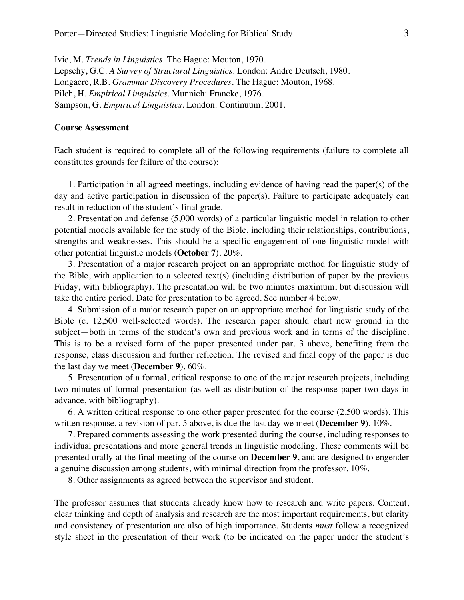Ivic, M. *Trends in Linguistics.* The Hague: Mouton, 1970. Lepschy, G.C. *A Survey of Structural Linguistics*. London: Andre Deutsch, 1980. Longacre, R.B. *Grammar Discovery Procedures.* The Hague: Mouton, 1968. Pilch, H. *Empirical Linguistics*. Munnich: Francke, 1976. Sampson, G. *Empirical Linguistics*. London: Continuum, 2001.

#### **Course Assessment**

Each student is required to complete all of the following requirements (failure to complete all constitutes grounds for failure of the course):

1. Participation in all agreed meetings, including evidence of having read the paper(s) of the day and active participation in discussion of the paper(s). Failure to participate adequately can result in reduction of the student's final grade.

2. Presentation and defense (5,000 words) of a particular linguistic model in relation to other potential models available for the study of the Bible, including their relationships, contributions, strengths and weaknesses. This should be a specific engagement of one linguistic model with other potential linguistic models (**October 7**). 20%.

3. Presentation of a major research project on an appropriate method for linguistic study of the Bible, with application to a selected text(s) (including distribution of paper by the previous Friday, with bibliography). The presentation will be two minutes maximum, but discussion will take the entire period. Date for presentation to be agreed. See number 4 below.

4. Submission of a major research paper on an appropriate method for linguistic study of the Bible (c. 12,500 well-selected words). The research paper should chart new ground in the subject—both in terms of the student's own and previous work and in terms of the discipline. This is to be a revised form of the paper presented under par. 3 above, benefiting from the response, class discussion and further reflection. The revised and final copy of the paper is due the last day we meet (**December 9**). 60%.

5. Presentation of a formal, critical response to one of the major research projects, including two minutes of formal presentation (as well as distribution of the response paper two days in advance, with bibliography).

6. A written critical response to one other paper presented for the course (2,500 words). This written response, a revision of par. 5 above, is due the last day we meet (**December 9**). 10%.

7. Prepared comments assessing the work presented during the course, including responses to individual presentations and more general trends in linguistic modeling. These comments will be presented orally at the final meeting of the course on **December 9**, and are designed to engender a genuine discussion among students, with minimal direction from the professor. 10%.

8. Other assignments as agreed between the supervisor and student.

The professor assumes that students already know how to research and write papers. Content, clear thinking and depth of analysis and research are the most important requirements, but clarity and consistency of presentation are also of high importance. Students *must* follow a recognized style sheet in the presentation of their work (to be indicated on the paper under the student's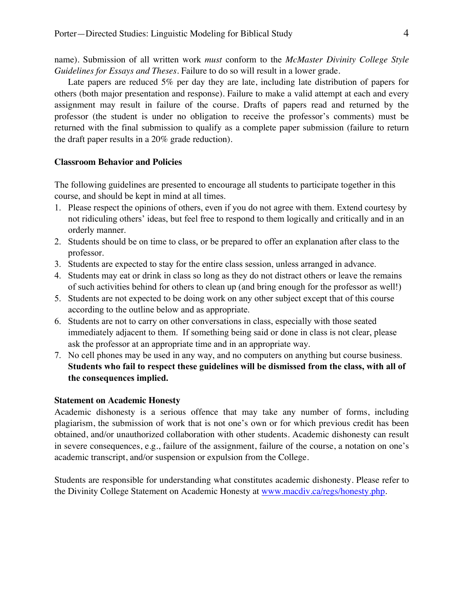name). Submission of all written work *must* conform to the *McMaster Divinity College Style Guidelines for Essays and Theses*. Failure to do so will result in a lower grade.

Late papers are reduced 5% per day they are late, including late distribution of papers for others (both major presentation and response). Failure to make a valid attempt at each and every assignment may result in failure of the course. Drafts of papers read and returned by the professor (the student is under no obligation to receive the professor's comments) must be returned with the final submission to qualify as a complete paper submission (failure to return the draft paper results in a 20% grade reduction).

## **Classroom Behavior and Policies**

The following guidelines are presented to encourage all students to participate together in this course, and should be kept in mind at all times.

- 1. Please respect the opinions of others, even if you do not agree with them. Extend courtesy by not ridiculing others' ideas, but feel free to respond to them logically and critically and in an orderly manner.
- 2. Students should be on time to class, or be prepared to offer an explanation after class to the professor.
- 3. Students are expected to stay for the entire class session, unless arranged in advance.
- 4. Students may eat or drink in class so long as they do not distract others or leave the remains of such activities behind for others to clean up (and bring enough for the professor as well!)
- 5. Students are not expected to be doing work on any other subject except that of this course according to the outline below and as appropriate.
- 6. Students are not to carry on other conversations in class, especially with those seated immediately adjacent to them. If something being said or done in class is not clear, please ask the professor at an appropriate time and in an appropriate way.
- 7. No cell phones may be used in any way, and no computers on anything but course business. **Students who fail to respect these guidelines will be dismissed from the class, with all of the consequences implied.**

## **Statement on Academic Honesty**

Academic dishonesty is a serious offence that may take any number of forms, including plagiarism, the submission of work that is not one's own or for which previous credit has been obtained, and/or unauthorized collaboration with other students. Academic dishonesty can result in severe consequences, e.g., failure of the assignment, failure of the course, a notation on one's academic transcript, and/or suspension or expulsion from the College.

Students are responsible for understanding what constitutes academic dishonesty. Please refer to the Divinity College Statement on Academic Honesty at www.macdiv.ca/regs/honesty.php.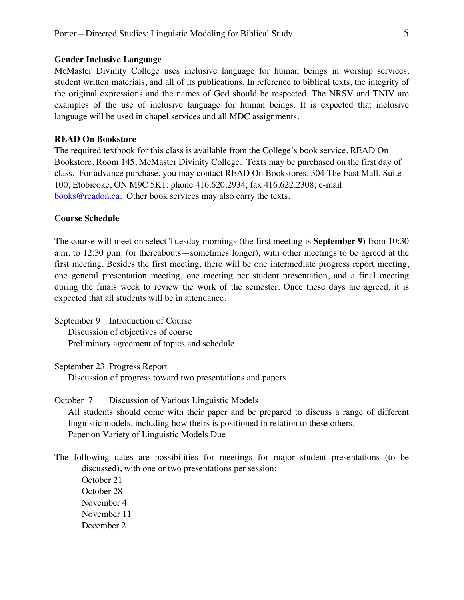#### **Gender Inclusive Language**

McMaster Divinity College uses inclusive language for human beings in worship services, student written materials, and all of its publications. In reference to biblical texts, the integrity of the original expressions and the names of God should be respected. The NRSV and TNIV are examples of the use of inclusive language for human beings. It is expected that inclusive language will be used in chapel services and all MDC assignments.

# **READ On Bookstore**

The required textbook for this class is available from the College's book service, READ On Bookstore, Room 145, McMaster Divinity College. Texts may be purchased on the first day of class. For advance purchase, you may contact READ On Bookstores, 304 The East Mall, Suite 100, Etobicoke, ON M9C 5K1: phone 416.620.2934; fax 416.622.2308; e-mail books@readon.ca. Other book services may also carry the texts.

### **Course Schedule**

The course will meet on select Tuesday mornings (the first meeting is **September 9**) from 10:30 a.m. to 12:30 p.m. (or thereabouts—sometimes longer), with other meetings to be agreed at the first meeting. Besides the first meeting, there will be one intermediate progress report meeting, one general presentation meeting, one meeting per student presentation, and a final meeting during the finals week to review the work of the semester. Once these days are agreed, it is expected that all students will be in attendance.

September 9 Introduction of Course Discussion of objectives of course Preliminary agreement of topics and schedule

September 23 Progress Report

Discussion of progress toward two presentations and papers

October 7 Discussion of Various Linguistic Models All students should come with their paper and be prepared to discuss a range of different linguistic models, including how theirs is positioned in relation to these others. Paper on Variety of Linguistic Models Due

The following dates are possibilities for meetings for major student presentations (to be discussed), with one or two presentations per session: October 21 October 28 November 4

November 11

December 2